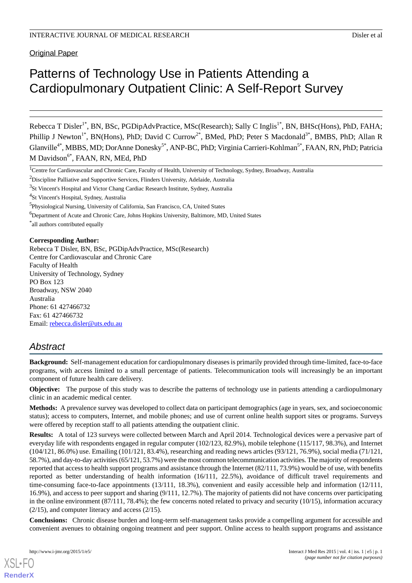**Original Paper** 

# Patterns of Technology Use in Patients Attending a Cardiopulmonary Outpatient Clinic: A Self-Report Survey

Rebecca T Disler<sup>1\*</sup>, BN, BSc, PGDipAdvPractice, MSc(Research); Sally C Inglis<sup>1\*</sup>, BN, BHSc(Hons), PhD, FAHA; Phillip J Newton<sup>1\*</sup>, BN(Hons), PhD; David C Currow<sup>2\*</sup>, BMed, PhD; Peter S Macdonald<sup>3\*</sup>, BMBS, PhD; Allan R Glanville<sup>4\*</sup>, MBBS, MD; DorAnne Donesky<sup>5\*</sup>, ANP-BC, PhD; Virginia Carrieri-Kohlman<sup>5\*</sup>, FAAN, RN, PhD; Patricia M Davidson<sup>6\*</sup>, FAAN, RN, MEd, PhD

#### **Corresponding Author:**

Rebecca T Disler, BN, BSc, PGDipAdvPractice, MSc(Research) Centre for Cardiovascular and Chronic Care Faculty of Health University of Technology, Sydney PO Box 123 Broadway, NSW 2040 Australia Phone: 61 427466732 Fax: 61 427466732 Email: [rebecca.disler@uts.edu.au](mailto:rebecca.disler@uts.edu.au)

# *Abstract*

**Background:** Self-management education for cardiopulmonary diseases is primarily provided through time-limited, face-to-face programs, with access limited to a small percentage of patients. Telecommunication tools will increasingly be an important component of future health care delivery.

**Objective:** The purpose of this study was to describe the patterns of technology use in patients attending a cardiopulmonary clinic in an academic medical center.

**Methods:** A prevalence survey was developed to collect data on participant demographics (age in years, sex, and socioeconomic status); access to computers, Internet, and mobile phones; and use of current online health support sites or programs. Surveys were offered by reception staff to all patients attending the outpatient clinic.

**Results:** A total of 123 surveys were collected between March and April 2014. Technological devices were a pervasive part of everyday life with respondents engaged in regular computer (102/123, 82.9%), mobile telephone (115/117, 98.3%), and Internet (104/121, 86.0%) use. Emailing (101/121, 83.4%), researching and reading news articles (93/121, 76.9%), social media (71/121, 58.7%), and day-to-day activities (65/121, 53.7%) were the most common telecommunication activities. The majority of respondents reported that access to health support programs and assistance through the Internet (82/111, 73.9%) would be of use, with benefits reported as better understanding of health information (16/111, 22.5%), avoidance of difficult travel requirements and time-consuming face-to-face appointments (13/111, 18.3%), convenient and easily accessible help and information (12/111, 16.9%), and access to peer support and sharing (9/111, 12.7%). The majority of patients did not have concerns over participating in the online environment  $(87/111, 78.4\%)$ ; the few concerns noted related to privacy and security  $(10/15)$ , information accuracy (2/15), and computer literacy and access (2/15).

**Conclusions:** Chronic disease burden and long-term self-management tasks provide a compelling argument for accessible and convenient avenues to obtaining ongoing treatment and peer support. Online access to health support programs and assistance

<sup>&</sup>lt;sup>1</sup>Centre for Cardiovascular and Chronic Care, Faculty of Health, University of Technology, Sydney, Broadway, Australia

<sup>&</sup>lt;sup>2</sup>Discipline Palliative and Supportive Services, Flinders University, Adelaide, Australia

<sup>&</sup>lt;sup>3</sup>St Vincent's Hospital and Victor Chang Cardiac Research Institute, Sydney, Australia

<sup>4</sup> St Vincent's Hospital, Sydney, Australia

<sup>5</sup> Physiological Nursing, University of California, San Francisco, CA, United States

<sup>&</sup>lt;sup>6</sup>Department of Acute and Chronic Care, Johns Hopkins University, Baltimore, MD, United States

<sup>\*</sup> all authors contributed equally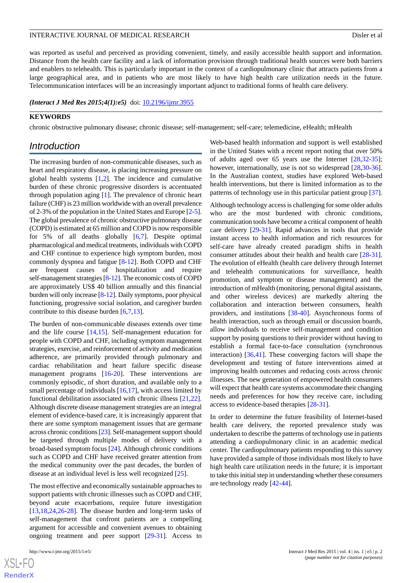was reported as useful and perceived as providing convenient, timely, and easily accessible health support and information. Distance from the health care facility and a lack of information provision through traditional health sources were both barriers and enablers to telehealth. This is particularly important in the context of a cardiopulmonary clinic that attracts patients from a large geographical area, and in patients who are most likely to have high health care utilization needs in the future. Telecommunication interfaces will be an increasingly important adjunct to traditional forms of health care delivery.

#### *(Interact J Med Res 2015;4(1):e5)* doi:  $10.2196/ijmr.3955$

#### **KEYWORDS**

chronic obstructive pulmonary disease; chronic disease; self-management; self-care; telemedicine, eHealth; mHealth

# *Introduction*

The increasing burden of non-communicable diseases, such as heart and respiratory disease, is placing increasing pressure on global health systems [[1](#page-10-0)[,2](#page-10-1)]. The incidence and cumulative burden of these chronic progressive disorders is accentuated through population aging [\[1](#page-10-0)]. The prevalence of chronic heart failure (CHF) is 23 million worldwide with an overall prevalence of 2-3% of the population in the United States and Europe [[2-](#page-10-1)[5\]](#page-10-2). The global prevalence of chronic obstructive pulmonary disease (COPD) is estimated at 65 million and COPD is now responsible for 5% of all deaths globally [\[6](#page-10-3),[7](#page-11-0)]. Despite optimal pharmacological and medical treatments, individuals with COPD and CHF continue to experience high symptom burden, most commonly dyspnea and fatigue [[8](#page-11-1)-[12\]](#page-11-2). Both COPD and CHF are frequent causes of hospitalization and require self-management strategies [\[8](#page-11-1)-[12](#page-11-2)]. The economic costs of COPD are approximately US\$ 40 billion annually and this financial burden will only increase [\[8](#page-11-1)[-12](#page-11-2)]. Daily symptoms, poor physical functioning, progressive social isolation, and caregiver burden contribute to this disease burden [\[6](#page-10-3),[7](#page-11-0)[,13](#page-11-3)].

The burden of non-communicable diseases extends over time and the life course [\[14](#page-11-4),[15\]](#page-11-5). Self-management education for people with COPD and CHF, including symptom management strategies, exercise, and reinforcement of activity and medication adherence, are primarily provided through pulmonary and cardiac rehabilitation and heart failure specific disease management programs [[16-](#page-11-6)[20\]](#page-11-7). These interventions are commonly episodic, of short duration, and available only to a small percentage of individuals [\[16](#page-11-6)[,17](#page-11-8)], with access limited by functional debilitation associated with chronic illness [\[21](#page-11-9),[22\]](#page-11-10). Although discrete disease management strategies are an integral element of evidence-based care, it is increasingly apparent that there are some symptom management issues that are germane across chronic conditions [\[23\]](#page-11-11). Self-management support should be targeted through multiple modes of delivery with a broad-based symptom focus [[24\]](#page-11-12). Although chronic conditions such as COPD and CHF have received greater attention from the medical community over the past decades, the burden of disease at an individual level is less well recognized [[25](#page-11-13)].

The most effective and economically sustainable approaches to support patients with chronic illnesses such as COPD and CHF, beyond acute exacerbations, require future investigation [[13](#page-11-3)[,18](#page-11-14),[24](#page-11-12)[,26](#page-11-15)-[28\]](#page-11-16). The disease burden and long-term tasks of self-management that confront patients are a compelling argument for accessible and convenient avenues to obtaining ongoing treatment and peer support [[29-](#page-12-0)[31\]](#page-12-1). Access to

Web-based health information and support is well established in the United States with a recent report noting that over 50% of adults aged over 65 years use the Internet [[28](#page-11-16)[,32](#page-12-2)-[35\]](#page-12-3); however, internationally, use is not so widespread [\[28](#page-11-16),[30-](#page-12-4)[36\]](#page-12-5). In the Australian context, studies have explored Web-based health interventions, but there is limited information as to the patterns of technology use in this particular patient group [[37\]](#page-12-6).

Although technology access is challenging for some older adults who are the most burdened with chronic conditions, communication tools have become a critical component of health care delivery [[29-](#page-12-0)[31\]](#page-12-1). Rapid advances in tools that provide instant access to health information and rich resources for self-care have already created paradigm shifts in health consumer attitudes about their health and health care [[28-](#page-11-16)[31\]](#page-12-1). The evolution of eHealth (health care delivery through Internet and telehealth communications for surveillance, health promotion, and symptom or disease management) and the introduction of mHealth (monitoring, personal digital assistants, and other wireless devices) are markedly altering the collaboration and interaction between consumers, health providers, and institutions [\[38](#page-12-7)[-40](#page-12-8)]. Asynchronous forms of health interaction, such as through email or discussion boards, allow individuals to receive self-management and condition support by posing questions to their provider without having to establish a formal face-to-face consultation (synchronous interaction) [[36,](#page-12-5)[41](#page-12-9)]. These converging factors will shape the development and testing of future interventions aimed at improving health outcomes and reducing costs across chronic illnesses. The new generation of empowered health consumers will expect that health care systems accommodate their changing needs and preferences for how they receive care, including access to evidence-based therapies [[28-](#page-11-16)[31](#page-12-1)].

In order to determine the future feasibility of Internet-based health care delivery, the reported prevalence study was undertaken to describe the patterns of technology use in patients attending a cardiopulmonary clinic in an academic medical center. The cardiopulmonary patients responding to this survey have provided a sample of those individuals most likely to have high health care utilization needs in the future; it is important to take this initial step in understanding whether these consumers are technology ready [\[42](#page-12-10)-[44\]](#page-12-11).

 $XSI - F($ **[RenderX](http://www.renderx.com/)**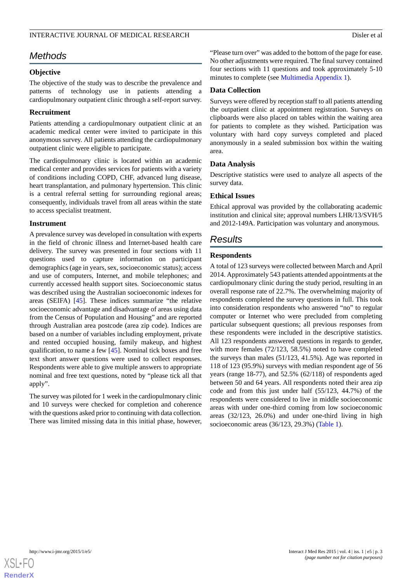# *Methods*

#### **Objective**

The objective of the study was to describe the prevalence and patterns of technology use in patients attending a cardiopulmonary outpatient clinic through a self-report survey.

# **Recruitment**

Patients attending a cardiopulmonary outpatient clinic at an academic medical center were invited to participate in this anonymous survey. All patients attending the cardiopulmonary outpatient clinic were eligible to participate.

The cardiopulmonary clinic is located within an academic medical center and provides services for patients with a variety of conditions including COPD, CHF, advanced lung disease, heart transplantation, and pulmonary hypertension. This clinic is a central referral setting for surrounding regional areas; consequently, individuals travel from all areas within the state to access specialist treatment.

# **Instrument**

A prevalence survey was developed in consultation with experts in the field of chronic illness and Internet-based health care delivery. The survey was presented in four sections with 11 questions used to capture information on participant demographics (age in years, sex, socioeconomic status); access and use of computers, Internet, and mobile telephones; and currently accessed health support sites. Socioeconomic status was described using the Australian socioeconomic indexes for areas (SEIFA) [[45\]](#page-12-12). These indices summarize "the relative socioeconomic advantage and disadvantage of areas using data from the Census of Population and Housing" and are reported through Australian area postcode (area zip code). Indices are based on a number of variables including employment, private and rented occupied housing, family makeup, and highest qualification, to name a few [[45\]](#page-12-12). Nominal tick boxes and free text short answer questions were used to collect responses. Respondents were able to give multiple answers to appropriate nominal and free text questions, noted by "please tick all that apply".

The survey was piloted for 1 week in the cardiopulmonary clinic and 10 surveys were checked for completion and coherence with the questions asked prior to continuing with data collection. There was limited missing data in this initial phase, however, "Please turn over" was added to the bottom of the page for ease. No other adjustments were required. The final survey contained four sections with 11 questions and took approximately 5-10 minutes to complete (see [Multimedia Appendix 1\)](#page-10-4).

# **Data Collection**

Surveys were offered by reception staff to all patients attending the outpatient clinic at appointment registration. Surveys on clipboards were also placed on tables within the waiting area for patients to complete as they wished. Participation was voluntary with hard copy surveys completed and placed anonymously in a sealed submission box within the waiting area.

# **Data Analysis**

Descriptive statistics were used to analyze all aspects of the survey data.

# **Ethical Issues**

Ethical approval was provided by the collaborating academic institution and clinical site; approval numbers LHR/13/SVH/5 and 2012-149A. Participation was voluntary and anonymous.

# *Results*

# **Respondents**

A total of 123 surveys were collected between March and April 2014. Approximately 543 patients attended appointments at the cardiopulmonary clinic during the study period, resulting in an overall response rate of 22.7%. The overwhelming majority of respondents completed the survey questions in full. This took into consideration respondents who answered "no" to regular computer or Internet who were precluded from completing particular subsequent questions; all previous responses from these respondents were included in the descriptive statistics. All 123 respondents answered questions in regards to gender, with more females (72/123, 58.5%) noted to have completed the surveys than males (51/123, 41.5%). Age was reported in 118 of 123 (95.9%) surveys with median respondent age of 56 years (range 18-77), and 52.5% (62/118) of respondents aged between 50 and 64 years. All respondents noted their area zip code and from this just under half (55/123, 44.7%) of the respondents were considered to live in middle socioeconomic areas with under one-third coming from low socioeconomic areas (32/123, 26.0%) and under one-third living in high socioeconomic areas (36/123, 29.3%) [\(Table 1\)](#page-3-0).

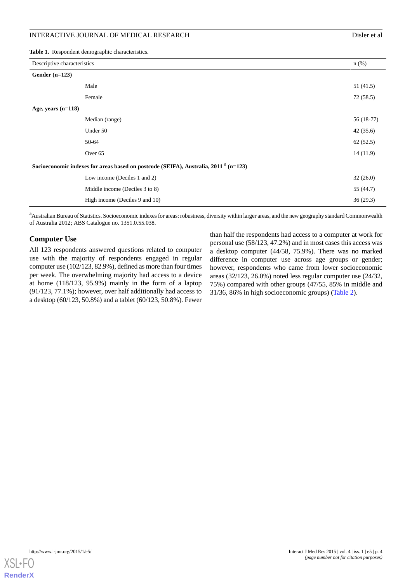<span id="page-3-0"></span>**Table 1.** Respondent demographic characteristics.

| Descriptive characteristics                                                                     |                                | $n$ (%)     |
|-------------------------------------------------------------------------------------------------|--------------------------------|-------------|
| Gender $(n=123)$                                                                                |                                |             |
|                                                                                                 | Male                           | 51 (41.5)   |
|                                                                                                 | Female                         | 72 (58.5)   |
| Age, years $(n=118)$                                                                            |                                |             |
|                                                                                                 | Median (range)                 | $56(18-77)$ |
|                                                                                                 | Under 50                       | 42(35.6)    |
|                                                                                                 | 50-64                          | 62(52.5)    |
|                                                                                                 | Over <sub>65</sub>             | 14(11.9)    |
| Socioeconomic indexes for areas based on postcode (SEIFA), Australia, 2011 <sup>a</sup> (n=123) |                                |             |
|                                                                                                 | Low income (Deciles 1 and 2)   | 32(26.0)    |
|                                                                                                 | Middle income (Deciles 3 to 8) | 55 (44.7)   |
|                                                                                                 | High income (Deciles 9 and 10) | 36(29.3)    |

<sup>a</sup>Australian Bureau of Statistics. Socioeconomic indexes for areas: robustness, diversity within larger areas, and the new geography standard Commonwealth of Australia 2012; ABS Catalogue no. 1351.0.55.038.

#### **Computer Use**

All 123 respondents answered questions related to computer use with the majority of respondents engaged in regular computer use (102/123, 82.9%), defined as more than four times per week. The overwhelming majority had access to a device at home (118/123, 95.9%) mainly in the form of a laptop (91/123, 77.1%); however, over half additionally had access to a desktop (60/123, 50.8%) and a tablet (60/123, 50.8%). Fewer

than half the respondents had access to a computer at work for personal use (58/123, 47.2%) and in most cases this access was a desktop computer (44/58, 75.9%). There was no marked difference in computer use across age groups or gender; however, respondents who came from lower socioeconomic areas (32/123, 26.0%) noted less regular computer use (24/32, 75%) compared with other groups (47/55, 85% in middle and 31/36, 86% in high socioeconomic groups) ([Table 2](#page-4-0)).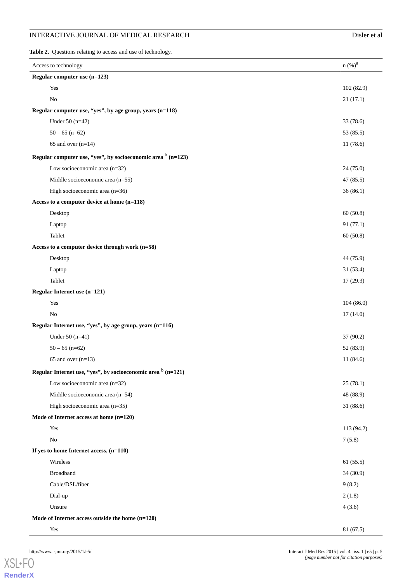<span id="page-4-0"></span>Table 2. Questions relating to access and use of technology.

| Access to technology                                                     | n (%) <sup>a</sup> |
|--------------------------------------------------------------------------|--------------------|
| Regular computer use (n=123)                                             |                    |
| Yes                                                                      | 102 (82.9)         |
| No                                                                       | 21(17.1)           |
| Regular computer use, "yes", by age group, years (n=118)                 |                    |
| Under $50(n=42)$                                                         | 33 (78.6)          |
| $50 - 65$ (n=62)                                                         | 53 (85.5)          |
| 65 and over $(n=14)$                                                     | 11 (78.6)          |
| Regular computer use, "yes", by socioeconomic area $\frac{b}{n}$ (n=123) |                    |
| Low socioeconomic area $(n=32)$                                          | 24 (75.0)          |
| Middle socioeconomic area (n=55)                                         | 47 (85.5)          |
| High socioeconomic area (n=36)                                           | 36(86.1)           |
| Access to a computer device at home (n=118)                              |                    |
| Desktop                                                                  | 60(50.8)           |
| Laptop                                                                   | 91 (77.1)          |
| Tablet                                                                   | 60(50.8)           |
| Access to a computer device through work (n=58)                          |                    |
| Desktop                                                                  | 44 (75.9)          |
| Laptop                                                                   | 31 (53.4)          |
| Tablet                                                                   | 17(29.3)           |
| Regular Internet use (n=121)                                             |                    |
| Yes                                                                      | 104(86.0)          |
| No                                                                       | 17(14.0)           |
| Regular Internet use, "yes", by age group, years (n=116)                 |                    |
| Under $50(n=41)$                                                         | 37 (90.2)          |
| $50 - 65$ (n=62)                                                         | 52 (83.9)          |
| 65 and over $(n=13)$                                                     | 11 (84.6)          |
| Regular Internet use, "yes", by socioeconomic area $b$ (n=121)           |                    |
| Low socioeconomic area $(n=32)$                                          | 25(78.1)           |
| Middle socioeconomic area (n=54)                                         | 48 (88.9)          |
| High socioeconomic area (n=35)                                           | 31(88.6)           |
| Mode of Internet access at home (n=120)                                  |                    |
| Yes                                                                      | 113 (94.2)         |
| No                                                                       | 7(5.8)             |
| If yes to home Internet access, $(n=110)$                                |                    |
| Wireless                                                                 | 61(55.5)           |
| <b>Broadband</b>                                                         | 34 (30.9)          |
| Cable/DSL/fiber                                                          | 9(8.2)             |
| Dial-up                                                                  | 2(1.8)             |
| Unsure                                                                   | 4(3.6)             |
| Mode of Internet access outside the home $(n=120)$                       |                    |
| Yes                                                                      | 81 (67.5)          |

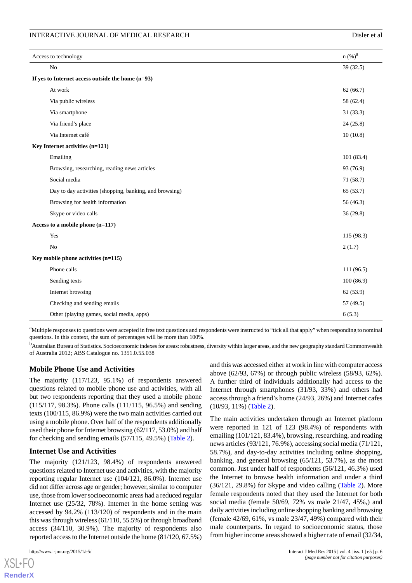| Access to technology                                |                                                         | n (%) <sup>a</sup> |  |
|-----------------------------------------------------|---------------------------------------------------------|--------------------|--|
|                                                     | $\rm No$                                                | 39 (32.5)          |  |
| If yes to Internet access outside the home $(n=93)$ |                                                         |                    |  |
|                                                     | At work                                                 | 62(66.7)           |  |
|                                                     | Via public wireless                                     | 58 (62.4)          |  |
|                                                     | Via smartphone                                          | 31(33.3)           |  |
|                                                     | Via friend's place                                      | 24(25.8)           |  |
|                                                     | Via Internet café                                       | 10(10.8)           |  |
|                                                     | Key Internet activities (n=121)                         |                    |  |
|                                                     | Emailing                                                | 101 (83.4)         |  |
|                                                     | Browsing, researching, reading news articles            | 93 (76.9)          |  |
|                                                     | Social media                                            | 71(58.7)           |  |
|                                                     | Day to day activities (shopping, banking, and browsing) | 65 (53.7)          |  |
|                                                     | Browsing for health information                         | 56 (46.3)          |  |
|                                                     | Skype or video calls                                    | 36(29.8)           |  |
| Access to a mobile phone (n=117)                    |                                                         |                    |  |
|                                                     | Yes                                                     | 115 (98.3)         |  |
|                                                     | No                                                      | 2(1.7)             |  |
|                                                     | Key mobile phone activities (n=115)                     |                    |  |
|                                                     | Phone calls                                             | 111(96.5)          |  |
|                                                     | Sending texts                                           | 100(86.9)          |  |
|                                                     | Internet browsing                                       | 62 (53.9)          |  |
|                                                     | Checking and sending emails                             | 57 (49.5)          |  |
|                                                     | Other (playing games, social media, apps)               | 6(5.3)             |  |

<sup>a</sup>Multiple responses to questions were accepted in free text questions and respondents were instructed to "tick all that apply" when responding to nominal questions. In this context, the sum of percentages will be more than 100%.

<sup>b</sup>Australian Bureau of Statistics. Socioeconomic indexes for areas: robustness, diversity within larger areas, and the new geography standard Commonwealth of Australia 2012; ABS Catalogue no. 1351.0.55.038

# **Mobile Phone Use and Activities**

The majority (117/123, 95.1%) of respondents answered questions related to mobile phone use and activities, with all but two respondents reporting that they used a mobile phone (115/117, 98.3%). Phone calls (111/115, 96.5%) and sending texts (100/115, 86.9%) were the two main activities carried out using a mobile phone. Over half of the respondents additionally used their phone for Internet browsing (62/117, 53.0%) and half for checking and sending emails (57/115, 49.5%) ([Table 2](#page-4-0)).

# **Internet Use and Activities**

The majority (121/123, 98.4%) of respondents answered questions related to Internet use and activities, with the majority reporting regular Internet use (104/121, 86.0%). Internet use did not differ across age or gender; however, similar to computer use, those from lower socioeconomic areas had a reduced regular Internet use (25/32, 78%). Internet in the home setting was accessed by 94.2% (113/120) of respondents and in the main this was through wireless (61/110, 55.5%) or through broadband access (34/110, 30.9%). The majority of respondents also reported access to the Internet outside the home (81/120, 67.5%)

 $XS$  • FC **[RenderX](http://www.renderx.com/)** and this was accessed either at work in line with computer access above (62/93, 67%) or through public wireless (58/93, 62%). A further third of individuals additionally had access to the Internet through smartphones (31/93, 33%) and others had access through a friend's home (24/93, 26%) and Internet cafes (10/93, 11%) [\(Table 2\)](#page-4-0).

The main activities undertaken through an Internet platform were reported in 121 of 123 (98.4%) of respondents with emailing (101/121, 83.4%), browsing, researching, and reading news articles (93/121, 76.9%), accessing social media (71/121, 58.7%), and day-to-day activities including online shopping, banking, and general browsing (65/121, 53.7%), as the most common. Just under half of respondents (56/121, 46.3%) used the Internet to browse health information and under a third (36/121, 29.8%) for Skype and video calling [\(Table 2](#page-4-0)). More female respondents noted that they used the Internet for both social media (female 50/69, 72% vs male 21/47, 45%,) and daily activities including online shopping banking and browsing (female 42/69, 61%, vs male 23/47, 49%) compared with their male counterparts. In regard to socioeconomic status, those from higher income areas showed a higher rate of email (32/34,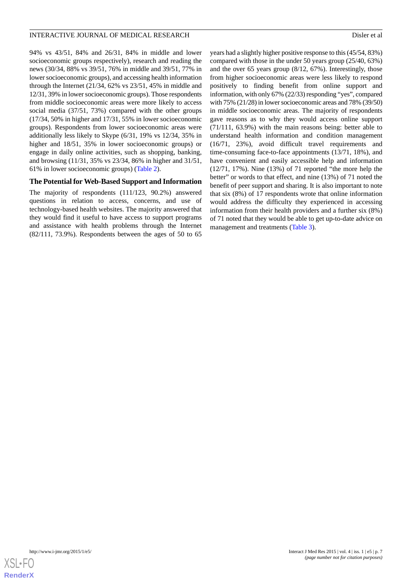94% vs 43/51, 84% and 26/31, 84% in middle and lower socioeconomic groups respectively), research and reading the news (30/34, 88% vs 39/51, 76% in middle and 39/51, 77% in lower socioeconomic groups), and accessing health information through the Internet (21/34, 62% vs 23/51, 45% in middle and 12/31, 39% in lower socioeconomic groups). Those respondents from middle socioeconomic areas were more likely to access social media (37/51, 73%) compared with the other groups (17/34, 50% in higher and 17/31, 55% in lower socioeconomic groups). Respondents from lower socioeconomic areas were additionally less likely to Skype (6/31, 19% vs 12/34, 35% in higher and 18/51, 35% in lower socioeconomic groups) or engage in daily online activities, such as shopping, banking, and browsing (11/31, 35% vs 23/34, 86% in higher and 31/51, 61% in lower socioeconomic groups) ([Table 2\)](#page-4-0).

#### **The Potential for Web-Based Support and Information**

The majority of respondents (111/123, 90.2%) answered questions in relation to access, concerns, and use of technology-based health websites. The majority answered that they would find it useful to have access to support programs and assistance with health problems through the Internet (82/111, 73.9%). Respondents between the ages of 50 to 65

years had a slightly higher positive response to this (45/54, 83%) compared with those in the under 50 years group (25/40, 63%) and the over 65 years group (8/12, 67%). Interestingly, those from higher socioeconomic areas were less likely to respond positively to finding benefit from online support and information, with only 67% (22/33) responding "yes", compared with 75% (21/28) in lower socioeconomic areas and 78% (39/50) in middle socioeconomic areas. The majority of respondents gave reasons as to why they would access online support (71/111, 63.9%) with the main reasons being: better able to understand health information and condition management (16/71, 23%), avoid difficult travel requirements and time-consuming face-to-face appointments (13/71, 18%), and have convenient and easily accessible help and information (12/71, 17%). Nine (13%) of 71 reported "the more help the better" or words to that effect, and nine (13%) of 71 noted the benefit of peer support and sharing. It is also important to note that six (8%) of 17 respondents wrote that online information would address the difficulty they experienced in accessing information from their health providers and a further six (8%) of 71 noted that they would be able to get up-to-date advice on management and treatments ([Table 3](#page-7-0)).

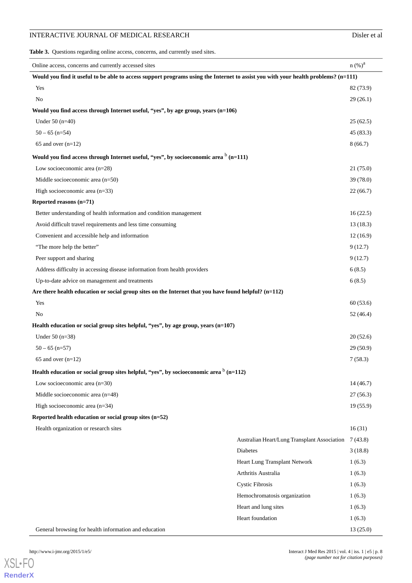<span id="page-7-0"></span>**Table 3.** Questions regarding online access, concerns, and currently used sites.

| Online access, concerns and currently accessed sites                                                                               |                                              | n (%) <sup>a</sup>    |  |
|------------------------------------------------------------------------------------------------------------------------------------|----------------------------------------------|-----------------------|--|
| Would you find it useful to be able to access support programs using the Internet to assist you with your health problems? (n=111) |                                              |                       |  |
| Yes                                                                                                                                |                                              | 82 (73.9)<br>29(26.1) |  |
| N <sub>o</sub>                                                                                                                     |                                              |                       |  |
| Would you find access through Internet useful, "yes", by age group, years (n=106)                                                  |                                              |                       |  |
| Under $50$ (n=40)                                                                                                                  |                                              | 25(62.5)              |  |
| $50 - 65$ (n=54)                                                                                                                   |                                              | 45 (83.3)             |  |
| 65 and over $(n=12)$                                                                                                               |                                              | 8(66.7)               |  |
| Would you find access through Internet useful, "yes", by socioeconomic area $\frac{b}{n}$ (n=111)                                  |                                              |                       |  |
| Low socioeconomic area $(n=28)$                                                                                                    |                                              | 21(75.0)              |  |
| Middle socioeconomic area (n=50)                                                                                                   |                                              | 39 (78.0)             |  |
| High socioeconomic area $(n=33)$                                                                                                   |                                              | 22(66.7)              |  |
| Reported reasons (n=71)                                                                                                            |                                              |                       |  |
| Better understanding of health information and condition management                                                                |                                              |                       |  |
| Avoid difficult travel requirements and less time consuming                                                                        |                                              | 13(18.3)              |  |
| Convenient and accessible help and information                                                                                     |                                              | 12(16.9)              |  |
| "The more help the better"                                                                                                         |                                              | 9(12.7)               |  |
| Peer support and sharing                                                                                                           |                                              | 9(12.7)               |  |
| Address difficulty in accessing disease information from health providers                                                          |                                              |                       |  |
| Up-to-date advice on management and treatments                                                                                     |                                              |                       |  |
| Are there health education or social group sites on the Internet that you have found helpful? (n=112)                              |                                              |                       |  |
| Yes                                                                                                                                |                                              | 60(53.6)              |  |
| N <sub>o</sub>                                                                                                                     |                                              | 52(46.4)              |  |
| Health education or social group sites helpful, "yes", by age group, years (n=107)                                                 |                                              |                       |  |
| Under $50(n=38)$                                                                                                                   |                                              | 20(52.6)              |  |
| $50 - 65$ (n=57)                                                                                                                   |                                              | 29(50.9)              |  |
| 65 and over $(n=12)$                                                                                                               |                                              | 7(58.3)               |  |
| Health education or social group sites helpful, "yes", by socioeconomic area $b$ (n=112)                                           |                                              |                       |  |
| Low socioeconomic area $(n=30)$                                                                                                    |                                              | 14(46.7)              |  |
| Middle socioeconomic area (n=48)                                                                                                   |                                              | 27(56.3)              |  |
| High socioeconomic area $(n=34)$                                                                                                   |                                              | 19(55.9)              |  |
| Reported health education or social group sites (n=52)                                                                             |                                              |                       |  |
| Health organization or research sites                                                                                              |                                              | 16(31)                |  |
|                                                                                                                                    | Australian Heart/Lung Transplant Association | 7(43.8)               |  |
|                                                                                                                                    | <b>Diabetes</b>                              | 3(18.8)               |  |
|                                                                                                                                    | Heart Lung Transplant Network                | 1(6.3)                |  |
|                                                                                                                                    | Arthritis Australia                          | 1(6.3)                |  |
|                                                                                                                                    | <b>Cystic Fibrosis</b>                       | 1(6.3)                |  |
|                                                                                                                                    | Hemochromatosis organization                 | 1(6.3)                |  |
|                                                                                                                                    | Heart and lung sites                         | 1(6.3)                |  |
|                                                                                                                                    | Heart foundation                             | 1(6.3)                |  |
| General browsing for health information and education                                                                              |                                              | 13(25.0)              |  |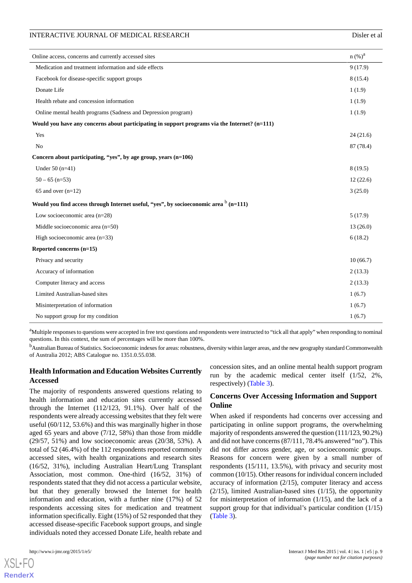| n (%) <sup>a</sup><br>Online access, concerns and currently accessed sites                    |           |
|-----------------------------------------------------------------------------------------------|-----------|
|                                                                                               |           |
| Medication and treatment information and side effects                                         | 9(17.9)   |
| Facebook for disease-specific support groups                                                  | 8(15.4)   |
| Donate Life<br>1(1.9)                                                                         |           |
| Health rebate and concession information<br>1(1.9)                                            |           |
| Online mental health programs (Sadness and Depression program)<br>1(1.9)                      |           |
| Would you have any concerns about participating in support programs via the Internet? (n=111) |           |
| Yes                                                                                           | 24(21.6)  |
| No                                                                                            | 87 (78.4) |
| Concern about participating, "yes", by age group, years (n=106)                               |           |
| Under $50$ (n=41)                                                                             | 8(19.5)   |
| $50 - 65$ (n=53)                                                                              | 12(22.6)  |
| 65 and over $(n=12)$                                                                          | 3(25.0)   |
| Would you find access through Internet useful, "yes", by socioeconomic area $b$ (n=111)       |           |
| Low socioeconomic area $(n=28)$                                                               | 5(17.9)   |
| Middle socioeconomic area (n=50)                                                              | 13(26.0)  |
| High socioeconomic area $(n=33)$                                                              | 6(18.2)   |
| Reported concerns (n=15)                                                                      |           |
| Privacy and security                                                                          | 10(66.7)  |
| Accuracy of information                                                                       | 2(13.3)   |
| Computer literacy and access                                                                  | 2(13.3)   |
| Limited Australian-based sites<br>1(6.7)                                                      |           |
| Misinterpretation of information                                                              |           |
| No support group for my condition<br>1(6.7)                                                   |           |

<sup>a</sup>Multiple responses to questions were accepted in free text questions and respondents were instructed to "tick all that apply" when responding to nominal questions. In this context, the sum of percentages will be more than 100%.

<sup>b</sup>Australian Bureau of Statistics. Socioeconomic indexes for areas: robustness, diversity within larger areas, and the new geography standard Commonwealth of Australia 2012; ABS Catalogue no. 1351.0.55.038.

# **Health Information and Education Websites Currently Accessed**

The majority of respondents answered questions relating to health information and education sites currently accessed through the Internet (112/123, 91.1%). Over half of the respondents were already accessing websites that they felt were useful (60/112, 53.6%) and this was marginally higher in those aged 65 years and above (7/12, 58%) than those from middle (29/57, 51%) and low socioeconomic areas (20/38, 53%). A total of 52 (46.4%) of the 112 respondents reported commonly accessed sites, with health organizations and research sites (16/52, 31%), including Australian Heart/Lung Transplant Association, most common. One-third (16/52, 31%) of respondents stated that they did not access a particular website, but that they generally browsed the Internet for health information and education, with a further nine (17%) of 52 respondents accessing sites for medication and treatment information specifically. Eight (15%) of 52 responded that they accessed disease-specific Facebook support groups, and single individuals noted they accessed Donate Life, health rebate and

concession sites, and an online mental health support program run by the academic medical center itself (1/52, 2%, respectively) ([Table 3](#page-7-0)).

# **Concerns Over Accessing Information and Support Online**

When asked if respondents had concerns over accessing and participating in online support programs, the overwhelming majority of respondents answered the question (111/123, 90.2%) and did not have concerns (87/111, 78.4% answered "no"). This did not differ across gender, age, or socioeconomic groups. Reasons for concern were given by a small number of respondents (15/111, 13.5%), with privacy and security most common (10/15). Other reasons for individual concern included accuracy of information (2/15), computer literacy and access (2/15), limited Australian-based sites (1/15), the opportunity for misinterpretation of information (1/15), and the lack of a support group for that individual's particular condition (1/15) ([Table 3](#page-7-0)).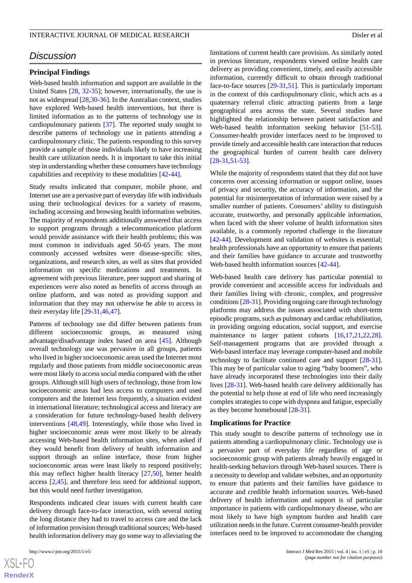# *Discussion*

#### **Principal Findings**

Web-based health information and support are available in the United States [\[28](#page-11-16), [32-](#page-12-2)[35\]](#page-12-3); however, internationally, the use is not as widespread [\[28](#page-11-16),[30](#page-12-4)[-36](#page-12-5)]. In the Australian context, studies have explored Web-based health interventions, but there is limited information as to the patterns of technology use in cardiopulmonary patients [[37\]](#page-12-6). The reported study sought to describe patterns of technology use in patients attending a cardiopulmonary clinic. The patients responding to this survey provide a sample of those individuals likely to have increasing health care utilization needs. It is important to take this initial step in understanding whether these consumers have technology capabilities and receptivity to these modalities [\[42](#page-12-10)-[44\]](#page-12-11).

Study results indicated that computer, mobile phone, and Internet use are a pervasive part of everyday life with individuals using their technological devices for a variety of reasons, including accessing and browsing health information websites. The majority of respondents additionally answered that access to support programs through a telecommunication platform would provide assistance with their health problems; this was most common in individuals aged 50-65 years. The most commonly accessed websites were disease-specific sites, organizations, and research sites, as well as sites that provided information on specific medications and treatments. In agreement with previous literature, peer support and sharing of experiences were also noted as benefits of access through an online platform, and was noted as providing support and information that they may not otherwise be able to access in their everyday life [\[29](#page-12-0)-[31,](#page-12-1)[46](#page-12-13),[47\]](#page-12-14).

Patterns of technology use did differ between patients from different socioeconomic groups, as measured using advantage/disadvantage index based on area [[45\]](#page-12-12). Although overall technology use was pervasive in all groups, patients who lived in higher socioeconomic areas used the Internet most regularly and those patients from middle socioeconomic areas were most likely to access social media compared with the other groups. Although still high users of technology, those from low socioeconomic areas had less access to computers and used computers and the Internet less frequently, a situation evident in international literature; technological access and literacy are a consideration for future technology-based health delivery interventions [[48,](#page-12-15)[49\]](#page-12-16). Interestingly, while those who lived in higher socioeconomic areas were most likely to be already accessing Web-based health information sites, when asked if they would benefit from delivery of health information and support through an online interface, those from higher socioeconomic areas were least likely to respond positively; this may reflect higher health literacy [[27](#page-11-17)[,50](#page-12-17)], better health access [[2](#page-10-1)[,45](#page-12-12)], and therefore less need for additional support, but this would need further investigation.

Respondents indicated clear issues with current health care delivery through face-to-face interaction, with several noting the long distance they had to travel to access care and the lack of information provision through traditional sources; Web-based health information delivery may go some way to alleviating the

 $XS$ -FO **[RenderX](http://www.renderx.com/)**

limitations of current health care provision. As similarly noted in previous literature, respondents viewed online health care delivery as providing convenient, timely, and easily accessible information, currently difficult to obtain through traditional face-to-face sources [\[29](#page-12-0)-[31,](#page-12-1)[51](#page-13-0)]. This is particularly important in the context of this cardiopulmonary clinic, which acts as a quaternary referral clinic attracting patients from a large geographical area across the state. Several studies have highlighted the relationship between patient satisfaction and Web-based health information seeking behavior [[51-](#page-13-0)[53\]](#page-13-1). Consumer-health provider interfaces need to be improved to provide timely and accessible health care interaction that reduces the geographical burden of current health care delivery [[28](#page-11-16)[-31](#page-12-1),[51-](#page-13-0)[53](#page-13-1)].

While the majority of respondents stated that they did not have concerns over accessing information or support online, issues of privacy and security, the accuracy of information, and the potential for misinterpretation of information were raised by a smaller number of patients. Consumers' ability to distinguish accurate, trustworthy, and personally applicable information, when faced with the sheer volume of health information sites available, is a commonly reported challenge in the literature [[42](#page-12-10)[-44](#page-12-11)]. Development and validation of websites is essential; health professionals have an opportunity to ensure that patients and their families have guidance to accurate and trustworthy Web-based health information sources [[42-](#page-12-10)[44](#page-12-11)].

Web-based health care delivery has particular potential to provide convenient and accessible access for individuals and their families living with chronic, complex, and progressive conditions [\[28](#page-11-16)-[31\]](#page-12-1). Providing ongoing care through technology platforms may address the issues associated with short-term episodic programs, such as pulmonary and cardiac rehabilitation, in providing ongoing education, social support, and exercise maintenance to larger patient cohorts [[16](#page-11-6)[,17](#page-11-8),[21](#page-11-9)[,22](#page-11-10),[28\]](#page-11-16). Self-management programs that are provided through a Web-based interface may leverage computer-based and mobile technology to facilitate continued care and support [[28-](#page-11-16)[31\]](#page-12-1). This may be of particular value to aging "baby boomers", who have already incorporated these technologies into their daily lives [\[28](#page-11-16)-[31\]](#page-12-1). Web-based health care delivery additionally has the potential to help those at end of life who need increasingly complex strategies to cope with dyspnea and fatigue, especially as they become homebound [[28-](#page-11-16)[31](#page-12-1)].

#### **Implications for Practice**

This study sought to describe patterns of technology use in patients attending a cardiopulmonary clinic. Technology use is a pervasive part of everyday life regardless of age or socioeconomic group with patients already heavily engaged in health-seeking behaviors through Web-based sources. There is a necessity to develop and validate websites, and an opportunity to ensure that patients and their families have guidance to accurate and credible health information sources. Web-based delivery of health information and support is of particular importance in patients with cardiopulmonary disease, who are most likely to have high symptom burden and health care utilization needs in the future. Current consumer-health provider interfaces need to be improved to accommodate the changing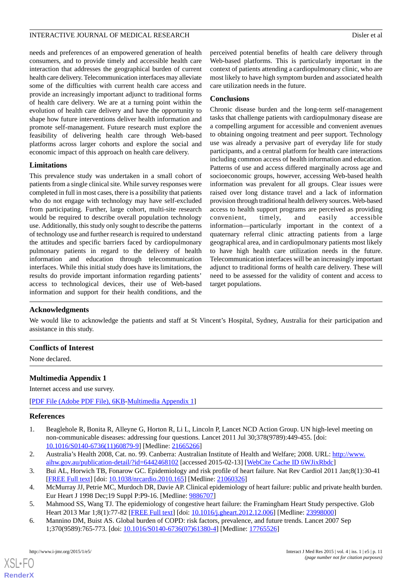needs and preferences of an empowered generation of health consumers, and to provide timely and accessible health care interaction that addresses the geographical burden of current health care delivery. Telecommunication interfaces may alleviate some of the difficulties with current health care access and provide an increasingly important adjunct to traditional forms of health care delivery. We are at a turning point within the evolution of health care delivery and have the opportunity to shape how future interventions deliver health information and promote self-management. Future research must explore the feasibility of delivering health care through Web-based platforms across larger cohorts and explore the social and economic impact of this approach on health care delivery.

# **Limitations**

This prevalence study was undertaken in a small cohort of patients from a single clinical site. While survey responses were completed in full in most cases, there is a possibility that patients who do not engage with technology may have self-excluded from participating. Further, large cohort, multi-site research would be required to describe overall population technology use. Additionally, this study only sought to describe the patterns of technology use and further research is required to understand the attitudes and specific barriers faced by cardiopulmonary pulmonary patients in regard to the delivery of health information and education through telecommunication interfaces. While this initial study does have its limitations, the results do provide important information regarding patients' access to technological devices, their use of Web-based information and support for their health conditions, and the

perceived potential benefits of health care delivery through Web-based platforms. This is particularly important in the context of patients attending a cardiopulmonary clinic, who are most likely to have high symptom burden and associated health care utilization needs in the future.

#### **Conclusions**

Chronic disease burden and the long-term self-management tasks that challenge patients with cardiopulmonary disease are a compelling argument for accessible and convenient avenues to obtaining ongoing treatment and peer support. Technology use was already a pervasive part of everyday life for study participants, and a central platform for health care interactions including common access of health information and education. Patterns of use and access differed marginally across age and socioeconomic groups, however, accessing Web-based health information was prevalent for all groups. Clear issues were raised over long distance travel and a lack of information provision through traditional health delivery sources. Web-based access to health support programs are perceived as providing convenient, timely, and easily accessible information—particularly important in the context of a quaternary referral clinic attracting patients from a large geographical area, and in cardiopulmonary patients most likely to have high health care utilization needs in the future. Telecommunication interfaces will be an increasingly important adjunct to traditional forms of health care delivery. These will need to be assessed for the validity of content and access to target populations.

#### **Acknowledgments**

We would like to acknowledge the patients and staff at St Vincent's Hospital, Sydney, Australia for their participation and assistance in this study.

#### <span id="page-10-4"></span>**Conflicts of Interest**

None declared.

# **Multimedia Appendix 1**

<span id="page-10-0"></span>Internet access and use survey.

<span id="page-10-1"></span>[[PDF File \(Adobe PDF File\), 6KB-Multimedia Appendix 1](https://jmir.org/api/download?alt_name=ijmr_v4i1e5_app1.pdf&filename=7708e5a81555d07ef9d6bd8e1e3419d7.pdf)]

#### **References**

- 1. Beaglehole R, Bonita R, Alleyne G, Horton R, Li L, Lincoln P, Lancet NCD Action Group. UN high-level meeting on non-communicable diseases: addressing four questions. Lancet 2011 Jul 30;378(9789):449-455. [doi: [10.1016/S0140-6736\(11\)60879-9\]](http://dx.doi.org/10.1016/S0140-6736(11)60879-9) [Medline: [21665266](http://www.ncbi.nlm.nih.gov/entrez/query.fcgi?cmd=Retrieve&db=PubMed&list_uids=21665266&dopt=Abstract)]
- <span id="page-10-2"></span>2. Australia's Health 2008, Cat. no. 99. Canberra: Australian Institute of Health and Welfare; 2008. URL: [http://www.](http://www.aihw.gov.au/publication-detail/?id=6442468102) [aihw.gov.au/publication-detail/?id=6442468102](http://www.aihw.gov.au/publication-detail/?id=6442468102) [accessed 2015-02-13] [\[WebCite Cache ID 6WJixRbdc](http://www.webcitation.org/

                                    6WJixRbdc)]
- <span id="page-10-3"></span>3. Bui AL, Horwich TB, Fonarow GC. Epidemiology and risk profile of heart failure. Nat Rev Cardiol 2011 Jan;8(1):30-41 [[FREE Full text](http://europepmc.org/abstract/MED/21060326)] [doi: [10.1038/nrcardio.2010.165](http://dx.doi.org/10.1038/nrcardio.2010.165)] [Medline: [21060326\]](http://www.ncbi.nlm.nih.gov/entrez/query.fcgi?cmd=Retrieve&db=PubMed&list_uids=21060326&dopt=Abstract)
- 4. McMurray JJ, Petrie MC, Murdoch DR, Davie AP. Clinical epidemiology of heart failure: public and private health burden. Eur Heart J 1998 Dec;19 Suppl P:P9-16. [Medline: [9886707](http://www.ncbi.nlm.nih.gov/entrez/query.fcgi?cmd=Retrieve&db=PubMed&list_uids=9886707&dopt=Abstract)]
- 5. Mahmood SS, Wang TJ. The epidemiology of congestive heart failure: the Framingham Heart Study perspective. Glob Heart 2013 Mar 1;8(1):77-82 [\[FREE Full text\]](http://europepmc.org/abstract/MED/23998000) [doi: [10.1016/j.gheart.2012.12.006\]](http://dx.doi.org/10.1016/j.gheart.2012.12.006) [Medline: [23998000\]](http://www.ncbi.nlm.nih.gov/entrez/query.fcgi?cmd=Retrieve&db=PubMed&list_uids=23998000&dopt=Abstract)
- 6. Mannino DM, Buist AS. Global burden of COPD: risk factors, prevalence, and future trends. Lancet 2007 Sep 1;370(9589):765-773. [doi: [10.1016/S0140-6736\(07\)61380-4\]](http://dx.doi.org/10.1016/S0140-6736(07)61380-4) [Medline: [17765526](http://www.ncbi.nlm.nih.gov/entrez/query.fcgi?cmd=Retrieve&db=PubMed&list_uids=17765526&dopt=Abstract)]

 $XS$  • FO **[RenderX](http://www.renderx.com/)**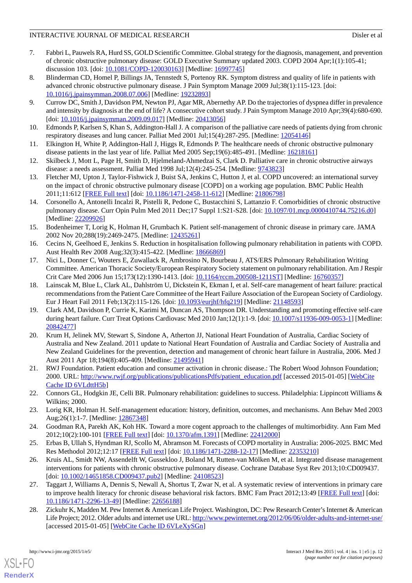- <span id="page-11-0"></span>7. Fabbri L, Pauwels RA, Hurd SS, GOLD Scientific Committee. Global strategy for the diagnosis, management, and prevention of chronic obstructive pulmonary disease: GOLD Executive Summary updated 2003. COPD 2004 Apr;1(1):105-41; discussion 103. [doi: [10.1081/COPD-120030163](http://dx.doi.org/10.1081/COPD-120030163)] [Medline: [16997745](http://www.ncbi.nlm.nih.gov/entrez/query.fcgi?cmd=Retrieve&db=PubMed&list_uids=16997745&dopt=Abstract)]
- <span id="page-11-1"></span>8. Blinderman CD, Homel P, Billings JA, Tennstedt S, Portenoy RK. Symptom distress and quality of life in patients with advanced chronic obstructive pulmonary disease. J Pain Symptom Manage 2009 Jul;38(1):115-123. [doi: [10.1016/j.jpainsymman.2008.07.006\]](http://dx.doi.org/10.1016/j.jpainsymman.2008.07.006) [Medline: [19232893](http://www.ncbi.nlm.nih.gov/entrez/query.fcgi?cmd=Retrieve&db=PubMed&list_uids=19232893&dopt=Abstract)]
- 9. Currow DC, Smith J, Davidson PM, Newton PJ, Agar MR, Abernethy AP. Do the trajectories of dyspnea differ in prevalence and intensity by diagnosis at the end of life? A consecutive cohort study. J Pain Symptom Manage 2010 Apr;39(4):680-690. [doi: [10.1016/j.jpainsymman.2009.09.017\]](http://dx.doi.org/10.1016/j.jpainsymman.2009.09.017) [Medline: [20413056\]](http://www.ncbi.nlm.nih.gov/entrez/query.fcgi?cmd=Retrieve&db=PubMed&list_uids=20413056&dopt=Abstract)
- 10. Edmonds P, Karlsen S, Khan S, Addington-Hall J. A comparison of the palliative care needs of patients dying from chronic respiratory diseases and lung cancer. Palliat Med 2001 Jul;15(4):287-295. [Medline: [12054146\]](http://www.ncbi.nlm.nih.gov/entrez/query.fcgi?cmd=Retrieve&db=PubMed&list_uids=12054146&dopt=Abstract)
- <span id="page-11-2"></span>11. Elkington H, White P, Addington-Hall J, Higgs R, Edmonds P. The healthcare needs of chronic obstructive pulmonary disease patients in the last year of life. Palliat Med 2005 Sep;19(6):485-491. [Medline: [16218161\]](http://www.ncbi.nlm.nih.gov/entrez/query.fcgi?cmd=Retrieve&db=PubMed&list_uids=16218161&dopt=Abstract)
- <span id="page-11-3"></span>12. Skilbeck J, Mott L, Page H, Smith D, Hjelmeland-Ahmedzai S, Clark D. Palliative care in chronic obstructive airways disease: a needs assessment. Palliat Med 1998 Jul;12(4):245-254. [Medline: [9743823\]](http://www.ncbi.nlm.nih.gov/entrez/query.fcgi?cmd=Retrieve&db=PubMed&list_uids=9743823&dopt=Abstract)
- <span id="page-11-4"></span>13. Fletcher MJ, Upton J, Taylor-Fishwick J, Buist SA, Jenkins C, Hutton J, et al. COPD uncovered: an international survey on the impact of chronic obstructive pulmonary disease [COPD] on a working age population. BMC Public Health 2011;11:612 [[FREE Full text](http://www.biomedcentral.com/1471-2458/11/612)] [doi: [10.1186/1471-2458-11-612\]](http://dx.doi.org/10.1186/1471-2458-11-612) [Medline: [21806798\]](http://www.ncbi.nlm.nih.gov/entrez/query.fcgi?cmd=Retrieve&db=PubMed&list_uids=21806798&dopt=Abstract)
- <span id="page-11-5"></span>14. Corsonello A, Antonelli Incalzi R, Pistelli R, Pedone C, Bustacchini S, Lattanzio F. Comorbidities of chronic obstructive pulmonary disease. Curr Opin Pulm Med 2011 Dec;17 Suppl 1:S21-S28. [doi: [10.1097/01.mcp.0000410744.75216.d0\]](http://dx.doi.org/10.1097/01.mcp.0000410744.75216.d0) [Medline: [22209926](http://www.ncbi.nlm.nih.gov/entrez/query.fcgi?cmd=Retrieve&db=PubMed&list_uids=22209926&dopt=Abstract)]
- <span id="page-11-8"></span><span id="page-11-6"></span>15. Bodenheimer T, Lorig K, Holman H, Grumbach K. Patient self-management of chronic disease in primary care. JAMA 2002 Nov 20;288(19):2469-2475. [Medline: [12435261](http://www.ncbi.nlm.nih.gov/entrez/query.fcgi?cmd=Retrieve&db=PubMed&list_uids=12435261&dopt=Abstract)]
- 16. Cecins N, Geelhoed E, Jenkins S. Reduction in hospitalisation following pulmonary rehabilitation in patients with COPD. Aust Health Rev 2008 Aug; 32(3): 415-422. [Medline: [18666869\]](http://www.ncbi.nlm.nih.gov/entrez/query.fcgi?cmd=Retrieve&db=PubMed&list_uids=18666869&dopt=Abstract)
- <span id="page-11-14"></span>17. Nici L, Donner C, Wouters E, Zuwallack R, Ambrosino N, Bourbeau J, ATS/ERS Pulmonary Rehabilitation Writing Committee. American Thoracic Society/European Respiratory Society statement on pulmonary rehabilitation. Am J Respir Crit Care Med 2006 Jun 15;173(12):1390-1413. [doi: [10.1164/rccm.200508-1211ST](http://dx.doi.org/10.1164/rccm.200508-1211ST)] [Medline: [16760357](http://www.ncbi.nlm.nih.gov/entrez/query.fcgi?cmd=Retrieve&db=PubMed&list_uids=16760357&dopt=Abstract)]
- 18. Lainscak M, Blue L, Clark AL, Dahlström U, Dickstein K, Ekman I, et al. Self-care management of heart failure: practical recommendations from the Patient Care Committee of the Heart Failure Association of the European Society of Cardiology. Eur J Heart Fail 2011 Feb;13(2):115-126. [doi: [10.1093/eurjhf/hfq219](http://dx.doi.org/10.1093/eurjhf/hfq219)] [Medline: [21148593\]](http://www.ncbi.nlm.nih.gov/entrez/query.fcgi?cmd=Retrieve&db=PubMed&list_uids=21148593&dopt=Abstract)
- <span id="page-11-7"></span>19. Clark AM, Davidson P, Currie K, Karimi M, Duncan AS, Thompson DR. Understanding and promoting effective self-care during heart failure. Curr Treat Options Cardiovasc Med 2010 Jan;12(1):1-9. [doi: [10.1007/s11936-009-0053-1\]](http://dx.doi.org/10.1007/s11936-009-0053-1) [Medline: [20842477](http://www.ncbi.nlm.nih.gov/entrez/query.fcgi?cmd=Retrieve&db=PubMed&list_uids=20842477&dopt=Abstract)]
- <span id="page-11-9"></span>20. Krum H, Jelinek MV, Stewart S, Sindone A, Atherton JJ, National Heart Foundation of Australia, Cardiac Society of Australia and New Zealand. 2011 update to National Heart Foundation of Australia and Cardiac Society of Australia and New Zealand Guidelines for the prevention, detection and management of chronic heart failure in Australia, 2006. Med J Aust 2011 Apr 18;194(8):405-409. [Medline: [21495941\]](http://www.ncbi.nlm.nih.gov/entrez/query.fcgi?cmd=Retrieve&db=PubMed&list_uids=21495941&dopt=Abstract)
- <span id="page-11-11"></span><span id="page-11-10"></span>21. RWJ Foundation. Patient education and consumer activation in chronic disease.: The Robert Wood Johnson Foundation; 2000. URL: [http://www.rwjf.org/publications/publicationsPdfs/patient\\_education.pdf](http://www.rwjf.org/publications/publicationsPdfs/patient_education.pdf) [accessed 2015-01-05] [\[WebCite](http://www.webcitation.org/

                                    6VLdttH5b) [Cache ID 6VLdttH5b](http://www.webcitation.org/

                                    6VLdttH5b)]
- <span id="page-11-13"></span><span id="page-11-12"></span>22. Connors GL, Hodgkin JE, Celli BR. Pulmonary rehabilitation: guidelines to success. Philadelphia: Lippincott Williams & Wilkins; 2000.
- <span id="page-11-15"></span>23. Lorig KR, Holman H. Self-management education: history, definition, outcomes, and mechanisms. Ann Behav Med 2003 Aug;26(1):1-7. [Medline: [12867348](http://www.ncbi.nlm.nih.gov/entrez/query.fcgi?cmd=Retrieve&db=PubMed&list_uids=12867348&dopt=Abstract)]
- 24. Goodman RA, Parekh AK, Koh HK. Toward a more cogent approach to the challenges of multimorbidity. Ann Fam Med 2012;10(2):100-101 [[FREE Full text](http://www.annfammed.org/cgi/pmidlookup?view=long&pmid=22412000)] [doi: [10.1370/afm.1391\]](http://dx.doi.org/10.1370/afm.1391) [Medline: [22412000\]](http://www.ncbi.nlm.nih.gov/entrez/query.fcgi?cmd=Retrieve&db=PubMed&list_uids=22412000&dopt=Abstract)
- <span id="page-11-17"></span>25. Erbas B, Ullah S, Hyndman RJ, Scollo M, Abramson M. Forecasts of COPD mortality in Australia: 2006-2025. BMC Med Res Methodol 2012;12:17 [[FREE Full text](http://www.biomedcentral.com/1471-2288/12/17)] [doi: [10.1186/1471-2288-12-17\]](http://dx.doi.org/10.1186/1471-2288-12-17) [Medline: [22353210\]](http://www.ncbi.nlm.nih.gov/entrez/query.fcgi?cmd=Retrieve&db=PubMed&list_uids=22353210&dopt=Abstract)
- <span id="page-11-16"></span>26. Kruis AL, Smidt NW, Assendelft W, Gussekloo J, Boland M, Rutten-van Mölken M, et al. Integrated disease management interventions for patients with chronic obstructive pulmonary disease. Cochrane Database Syst Rev 2013;10:CD009437. [doi: [10.1002/14651858.CD009437.pub2](http://dx.doi.org/10.1002/14651858.CD009437.pub2)] [Medline: [24108523\]](http://www.ncbi.nlm.nih.gov/entrez/query.fcgi?cmd=Retrieve&db=PubMed&list_uids=24108523&dopt=Abstract)
- 27. Taggart J, Williams A, Dennis S, Newall A, Shortus T, Zwar N, et al. A systematic review of interventions in primary care to improve health literacy for chronic disease behavioral risk factors. BMC Fam Pract 2012;13:49 [\[FREE Full text\]](http://www.biomedcentral.com/1471-2296/13/49) [doi: [10.1186/1471-2296-13-49\]](http://dx.doi.org/10.1186/1471-2296-13-49) [Medline: [22656188\]](http://www.ncbi.nlm.nih.gov/entrez/query.fcgi?cmd=Retrieve&db=PubMed&list_uids=22656188&dopt=Abstract)
- 28. Zickuhr K, Madden M. Pew Internet & American Life Project. Washington, DC: Pew Research Center's Internet & American Life Project; 2012. Older adults and internet use URL:<http://www.pewinternet.org/2012/06/06/older-adults-and-internet-use/> [accessed 2015-01-05] [\[WebCite Cache ID 6VLeXySGn\]](http://www.webcitation.org/

                                    6VLeXySGn)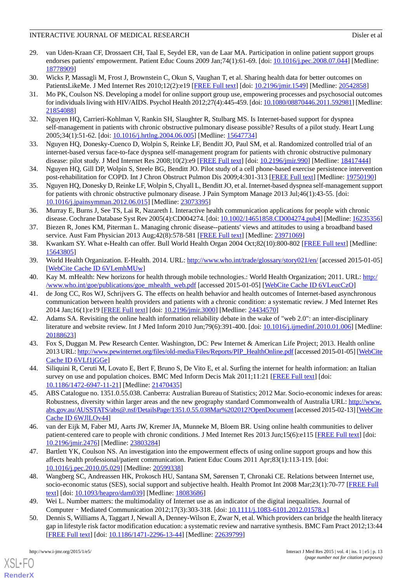- <span id="page-12-0"></span>29. van Uden-Kraan CF, Drossaert CH, Taal E, Seydel ER, van de Laar MA. Participation in online patient support groups endorses patients' empowerment. Patient Educ Couns 2009 Jan;74(1):61-69. [doi: [10.1016/j.pec.2008.07.044](http://dx.doi.org/10.1016/j.pec.2008.07.044)] [Medline: [18778909](http://www.ncbi.nlm.nih.gov/entrez/query.fcgi?cmd=Retrieve&db=PubMed&list_uids=18778909&dopt=Abstract)]
- <span id="page-12-4"></span><span id="page-12-1"></span>30. Wicks P, Massagli M, Frost J, Brownstein C, Okun S, Vaughan T, et al. Sharing health data for better outcomes on PatientsLikeMe. J Med Internet Res 2010;12(2):e19 [\[FREE Full text\]](http://www.jmir.org/2010/2/e19/) [doi: [10.2196/jmir.1549\]](http://dx.doi.org/10.2196/jmir.1549) [Medline: [20542858\]](http://www.ncbi.nlm.nih.gov/entrez/query.fcgi?cmd=Retrieve&db=PubMed&list_uids=20542858&dopt=Abstract)
- 31. Mo PK, Coulson NS. Developing a model for online support group use, empowering processes and psychosocial outcomes for individuals living with HIV/AIDS. Psychol Health 2012;27(4):445-459. [doi: [10.1080/08870446.2011.592981\]](http://dx.doi.org/10.1080/08870446.2011.592981) [Medline: [21854088](http://www.ncbi.nlm.nih.gov/entrez/query.fcgi?cmd=Retrieve&db=PubMed&list_uids=21854088&dopt=Abstract)]
- <span id="page-12-2"></span>32. Nguyen HQ, Carrieri-Kohlman V, Rankin SH, Slaughter R, Stulbarg MS. Is Internet-based support for dyspnea self-management in patients with chronic obstructive pulmonary disease possible? Results of a pilot study. Heart Lung 2005;34(1):51-62. [doi: [10.1016/j.hrtlng.2004.06.005](http://dx.doi.org/10.1016/j.hrtlng.2004.06.005)] [Medline: [15647734](http://www.ncbi.nlm.nih.gov/entrez/query.fcgi?cmd=Retrieve&db=PubMed&list_uids=15647734&dopt=Abstract)]
- 33. Nguyen HQ, Donesky-Cuenco D, Wolpin S, Reinke LF, Benditt JO, Paul SM, et al. Randomized controlled trial of an internet-based versus face-to-face dyspnea self-management program for patients with chronic obstructive pulmonary disease: pilot study. J Med Internet Res 2008;10(2):e9 [\[FREE Full text\]](http://www.jmir.org/2008/2/e9/19) [doi: [10.2196/jmir.990\]](http://dx.doi.org/10.2196/jmir.990) [Medline: [18417444\]](http://www.ncbi.nlm.nih.gov/entrez/query.fcgi?cmd=Retrieve&db=PubMed&list_uids=18417444&dopt=Abstract)
- <span id="page-12-3"></span>34. Nguyen HQ, Gill DP, Wolpin S, Steele BG, Benditt JO. Pilot study of a cell phone-based exercise persistence intervention post-rehabilitation for COPD. Int J Chron Obstruct Pulmon Dis 2009;4:301-313 [\[FREE Full text\]](http://www.dovepress.com/articles.php?article_id=3418) [Medline: [19750190](http://www.ncbi.nlm.nih.gov/entrez/query.fcgi?cmd=Retrieve&db=PubMed&list_uids=19750190&dopt=Abstract)]
- <span id="page-12-5"></span>35. Nguyen HQ, Donesky D, Reinke LF, Wolpin S, Chyall L, Benditt JO, et al. Internet-based dyspnea self-management support for patients with chronic obstructive pulmonary disease. J Pain Symptom Manage 2013 Jul;46(1):43-55. [doi: [10.1016/j.jpainsymman.2012.06.015\]](http://dx.doi.org/10.1016/j.jpainsymman.2012.06.015) [Medline: [23073395](http://www.ncbi.nlm.nih.gov/entrez/query.fcgi?cmd=Retrieve&db=PubMed&list_uids=23073395&dopt=Abstract)]
- <span id="page-12-6"></span>36. Murray E, Burns J, See TS, Lai R, Nazareth I. Interactive health communication applications for people with chronic disease. Cochrane Database Syst Rev 2005(4):CD004274. [doi: [10.1002/14651858.CD004274.pub4\]](http://dx.doi.org/10.1002/14651858.CD004274.pub4) [Medline: [16235356](http://www.ncbi.nlm.nih.gov/entrez/query.fcgi?cmd=Retrieve&db=PubMed&list_uids=16235356&dopt=Abstract)]
- <span id="page-12-7"></span>37. Biezen R, Jones KM, Piterman L. Managing chronic disease--patients' views and attitudes to using a broadband based service. Aust Fam Physician 2013 Aug; 42(8): 578-581 [[FREE Full text](http://www.racgp.org.au/afp/2013/august/managing-chronic-disease/)] [Medline: [23971069\]](http://www.ncbi.nlm.nih.gov/entrez/query.fcgi?cmd=Retrieve&db=PubMed&list_uids=23971069&dopt=Abstract)
- <span id="page-12-8"></span>38. Kwankam SY. What e-Health can offer. Bull World Health Organ 2004 Oct;82(10):800-802 [\[FREE Full text\]](http://europepmc.org/abstract/MED/15643805) [Medline: [15643805](http://www.ncbi.nlm.nih.gov/entrez/query.fcgi?cmd=Retrieve&db=PubMed&list_uids=15643805&dopt=Abstract)]
- <span id="page-12-9"></span>39. World Health Organization. E-Health. 2014. URL:<http://www.who.int/trade/glossary/story021/en/> [accessed 2015-01-05] [[WebCite Cache ID 6VLemhMUw](http://www.webcitation.org/

                                    6VLemhMUw)]
- 40. Kay M. mHealth: New horizons for health through mobile technologies.: World Health Organization; 2011. URL: [http:/](http://www.who.int/goe/publications/goe_mhealth_web.pdf) [/www.who.int/goe/publications/goe\\_mhealth\\_web.pdf](http://www.who.int/goe/publications/goe_mhealth_web.pdf) [accessed 2015-01-05] [[WebCite Cache ID 6VLeucCzO\]](http://www.webcitation.org/

                                    6VLeucCzO)
- <span id="page-12-10"></span>41. de Jong CC, Ros WJ, Schrijvers G. The effects on health behavior and health outcomes of Internet-based asynchronous communication between health providers and patients with a chronic condition: a systematic review. J Med Internet Res 2014 Jan;16(1):e19 [[FREE Full text](http://www.jmir.org/2014/1/e19/)] [doi: [10.2196/jmir.3000](http://dx.doi.org/10.2196/jmir.3000)] [Medline: [24434570](http://www.ncbi.nlm.nih.gov/entrez/query.fcgi?cmd=Retrieve&db=PubMed&list_uids=24434570&dopt=Abstract)]
- 42. Adams SA. Revisiting the online health information reliability debate in the wake of "web 2.0": an inter-disciplinary literature and website review. Int J Med Inform 2010 Jun;79(6):391-400. [doi: [10.1016/j.ijmedinf.2010.01.006\]](http://dx.doi.org/10.1016/j.ijmedinf.2010.01.006) [Medline: [20188623](http://www.ncbi.nlm.nih.gov/entrez/query.fcgi?cmd=Retrieve&db=PubMed&list_uids=20188623&dopt=Abstract)]
- <span id="page-12-12"></span><span id="page-12-11"></span>43. Fox S, Duggan M. Pew Research Center. Washington, DC: Pew Internet & American Life Project; 2013. Health online 2013 URL: [http://www.pewinternet.org/files/old-media/Files/Reports/PIP\\_HealthOnline.pdf](http://www.pewinternet.org/files/old-media/Files/Reports/PIP_HealthOnline.pdf) [accessed 2015-01-05] [[WebCite](http://www.webcitation.org/

                                    6VLf1jGGe) [Cache ID 6VLf1jGGe](http://www.webcitation.org/

                                    6VLf1jGGe)]
- 44. Siliquini R, Ceruti M, Lovato E, Bert F, Bruno S, De Vito E, et al. Surfing the internet for health information: an Italian survey on use and population choices. BMC Med Inform Decis Mak 2011;11:21 [\[FREE Full text\]](http://www.biomedcentral.com/1472-6947/11/21) [doi: [10.1186/1472-6947-11-21\]](http://dx.doi.org/10.1186/1472-6947-11-21) [Medline: [21470435\]](http://www.ncbi.nlm.nih.gov/entrez/query.fcgi?cmd=Retrieve&db=PubMed&list_uids=21470435&dopt=Abstract)
- <span id="page-12-14"></span><span id="page-12-13"></span>45. ABS Catalogue no. 1351.0.55.038. Canberra: Australian Bureau of Statistics; 2012 Mar. Socio-economic indexes for areas: Robustness, diversity within larger areas and the new geography standard Commonwealth of Australia URL: [http://www.](http://www.abs.gov.au/AUSSTATS/abs@.nsf/DetailsPage/1351.0.55.038Mar%202012?OpenDocument) [abs.gov.au/AUSSTATS/abs@.nsf/DetailsPage/1351.0.55.038Mar%202012?OpenDocument](http://www.abs.gov.au/AUSSTATS/abs@.nsf/DetailsPage/1351.0.55.038Mar%202012?OpenDocument) [accessed 2015-02-13] [[WebCite](http://www.webcitation.org/

                                    6WJlLOv44) [Cache ID 6WJlLOv44](http://www.webcitation.org/

                                    6WJlLOv44)]
- <span id="page-12-15"></span>46. van der Eijk M, Faber MJ, Aarts JW, Kremer JA, Munneke M, Bloem BR. Using online health communities to deliver patient-centered care to people with chronic conditions. J Med Internet Res 2013 Jun;15(6):e115 [[FREE Full text](http://www.jmir.org/2013/6/e115/)] [doi: [10.2196/jmir.2476](http://dx.doi.org/10.2196/jmir.2476)] [Medline: [23803284](http://www.ncbi.nlm.nih.gov/entrez/query.fcgi?cmd=Retrieve&db=PubMed&list_uids=23803284&dopt=Abstract)]
- <span id="page-12-16"></span>47. Bartlett YK, Coulson NS. An investigation into the empowerment effects of using online support groups and how this affects health professional/patient communication. Patient Educ Couns 2011 Apr;83(1):113-119. [doi: [10.1016/j.pec.2010.05.029\]](http://dx.doi.org/10.1016/j.pec.2010.05.029) [Medline: [20599338](http://www.ncbi.nlm.nih.gov/entrez/query.fcgi?cmd=Retrieve&db=PubMed&list_uids=20599338&dopt=Abstract)]
- <span id="page-12-17"></span>48. Wangberg SC, Andreassen HK, Prokosch HU, Santana SM, Sørensen T, Chronaki CE. Relations between Internet use, socio-economic status (SES), social support and subjective health. Health Promot Int 2008 Mar;23(1):70-77 [\[FREE Full](http://heapro.oxfordjournals.org/cgi/pmidlookup?view=long&pmid=18083686) [text](http://heapro.oxfordjournals.org/cgi/pmidlookup?view=long&pmid=18083686)] [doi: [10.1093/heapro/dam039](http://dx.doi.org/10.1093/heapro/dam039)] [Medline: [18083686\]](http://www.ncbi.nlm.nih.gov/entrez/query.fcgi?cmd=Retrieve&db=PubMed&list_uids=18083686&dopt=Abstract)
- 49. Wei L. Number matters: the multimodality of Internet use as an indicator of the digital inequalities. Journal of Computer - Mediated Communication 2012;17(3):303-318. [doi: [10.1111/j.1083-6101.2012.01578.x](http://dx.doi.org/10.1111/j.1083-6101.2012.01578.x)]
- 50. Dennis S, Williams A, Taggart J, Newall A, Denney-Wilson E, Zwar N, et al. Which providers can bridge the health literacy gap in lifestyle risk factor modification education: a systematic review and narrative synthesis. BMC Fam Pract 2012;13:44 [[FREE Full text](http://www.biomedcentral.com/1471-2296/13/44)] [doi: [10.1186/1471-2296-13-44\]](http://dx.doi.org/10.1186/1471-2296-13-44) [Medline: [22639799](http://www.ncbi.nlm.nih.gov/entrez/query.fcgi?cmd=Retrieve&db=PubMed&list_uids=22639799&dopt=Abstract)]